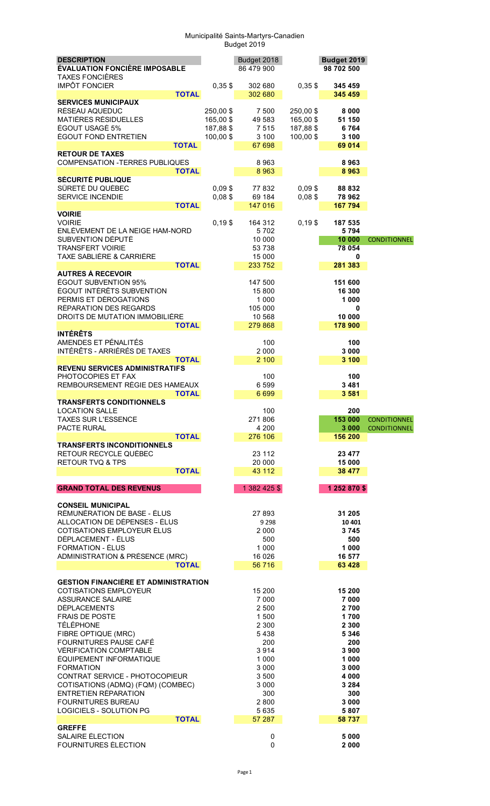## Municipalité Saints-Martyrs-Canadien Budget 2019

| <b>DESCRIPTION</b>                                  |                       | Budget 2018       |                      | Budget 2019        |                     |
|-----------------------------------------------------|-----------------------|-------------------|----------------------|--------------------|---------------------|
| <b>ÉVALUATION FONCIÈRE IMPOSABLE</b>                |                       | 86 479 900        |                      | 98 702 500         |                     |
| <b>TAXES FONCIÈRES</b>                              |                       |                   |                      |                    |                     |
| <b>IMPÔT FONCIER</b>                                | $0,35$ \$             | 302 680           | $0,35$ \$            | 345 459            |                     |
| <b>TOTAL</b>                                        |                       | 302 680           |                      | 345 459            |                     |
| <b>SERVICES MUNICIPAUX</b><br>RÉSEAU AQUEDUC        |                       |                   |                      |                    |                     |
| MATIÈRES RÉSIDUELLES                                | 250,00\$<br>165,00 \$ | 7 500<br>49 583   | 250,00\$<br>165,00\$ | 8 0 0 0<br>51 150  |                     |
| ÉGOUT USAGÉ 5%                                      | 187,88 \$             | 7515              | 187,88 \$            | 6764               |                     |
| <b>ÉGOUT FOND ENTRETIEN</b>                         | 100,00\$              | 3 100             | 100,00\$             | 3 100              |                     |
| <b>TOTAL</b>                                        |                       | 67 698            |                      | 69 014             |                     |
| <b>RETOUR DE TAXES</b>                              |                       |                   |                      |                    |                     |
| <b>COMPENSATION - TERRES PUBLIQUES</b>              |                       | 8963              |                      | 8963               |                     |
| <b>TOTAL</b>                                        |                       | 8963              |                      | 8963               |                     |
| <b>SÉCURITÉ PUBLIQUE</b>                            |                       |                   |                      |                    |                     |
| SÛRETÉ DU QUÉBEC                                    | $0,09$ \$             | 77832             | $0,09$ \$            | 88 832             |                     |
| <b>SERVICE INCENDIE</b>                             | $0,08$ \$             | 69 184            | $0,08$ \$            | 78 962             |                     |
| <b>TOTAL</b>                                        |                       | 147 016           |                      | 167 794            |                     |
| <b>VOIRIE</b>                                       |                       |                   |                      |                    |                     |
| <b>VOIRIE</b>                                       | $0,19$ \$             | 164 312           | $0,19$ \$            | 187 535            |                     |
| ENLÈVEMENT DE LA NEIGE HAM-NORD                     |                       | 5702              |                      | 5794               |                     |
| SUBVENTION DÉPUTÉ                                   |                       | 10 000            |                      | 10 000             | <b>CONDITIONNEL</b> |
| <b>TRANSFERT VOIRIE</b><br>TAXE SABLIÈRE & CARRIÈRE |                       | 53 738            |                      | 78 054             |                     |
| <b>TOTAL</b>                                        |                       | 15 000<br>233 752 |                      | 0<br>281 383       |                     |
| <b>AUTRES À RECEVOIR</b>                            |                       |                   |                      |                    |                     |
| <b>ÉGOUT SUBVENTION 95%</b>                         |                       | 147 500           |                      | 151 600            |                     |
| ÉGOUT INTÉRÊTS SUBVENTION                           |                       | 15 800            |                      | 16 300             |                     |
| PERMIS ET DÉROGATIONS                               |                       | 1 0 0 0           |                      | 1 000              |                     |
| RÉPARATION DES REGARDS                              |                       | 105 000           |                      | 0                  |                     |
| DROITS DE MUTATION IMMOBILIÈRE                      |                       | 10 568            |                      | 10 000             |                     |
| <b>TOTAL</b>                                        |                       | 279 868           |                      | 178 900            |                     |
| <b>INTÉRÊTS</b>                                     |                       |                   |                      |                    |                     |
| AMENDES ET PÉNALITÉS                                |                       | 100               |                      | 100                |                     |
| INTÉRÊTS - ARRIÉRÉS DE TAXES                        |                       | 2 0 0 0           |                      | 3 0 0 0            |                     |
| <b>TOTAL</b>                                        |                       | 2 100             |                      | 3 100              |                     |
| <b>REVENU SERVICES ADMINISTRATIFS</b>               |                       |                   |                      |                    |                     |
| PHOTOCOPIES ET FAX                                  |                       | 100               |                      | 100                |                     |
| REMBOURSEMENT RÉGIE DES HAMEAUX                     |                       | 6599              |                      | 3481               |                     |
| <b>TOTAL</b>                                        |                       | 6 6 9 9           |                      | 3 5 8 1            |                     |
| <b>TRANSFERTS CONDITIONNELS</b>                     |                       |                   |                      |                    |                     |
| <b>LOCATION SALLE</b>                               |                       | 100               |                      | 200                |                     |
| <b>TAXES SUR L'ESSENCE</b>                          |                       | 271 806           |                      | 153 000            | <b>CONDITIONNEL</b> |
|                                                     |                       |                   |                      |                    |                     |
| PACTE RURAL                                         |                       | 4 200             |                      | 3 0 0 0            | <b>CONDITIONNEL</b> |
| <b>TOTAL</b>                                        |                       | 276 106           |                      | 156 200            |                     |
| <b>TRANSFERTS INCONDITIONNELS</b>                   |                       |                   |                      |                    |                     |
| RETOUR RECYCLE QUÉBEC                               |                       | 23 112            |                      | 23 477             |                     |
| <b>RETOUR TVQ &amp; TPS</b>                         |                       | 20 000            |                      | 15 000             |                     |
| <b>TOTAL</b>                                        |                       | 43 112            |                      | 38 477             |                     |
| <b>GRAND TOTAL DES REVENUS</b>                      |                       | 1 382 425 \$      |                      | 1 252 870 \$       |                     |
|                                                     |                       |                   |                      |                    |                     |
| <b>CONSEIL MUNICIPAL</b>                            |                       |                   |                      |                    |                     |
| RÉMUNÉRATION DE BASE - ÉLUS                         |                       | 27 893            |                      | 31 205             |                     |
| ALLOCATION DE DÉPENSES - ÉLUS                       |                       | 9 2 9 8           |                      | 10 401             |                     |
| COTISATIONS EMPLOYEUR ÉLUS                          |                       | 2 0 0 0           |                      | 3745               |                     |
| DÉPLACEMENT - ÉLUS                                  |                       | 500               |                      | 500                |                     |
| <b>FORMATION - ÉLUS</b>                             |                       | 1 0 0 0           |                      | 1 0 0 0            |                     |
| ADMINISTRATION & PRÉSENCE (MRC)                     |                       | 16 0 26           |                      | 16 577             |                     |
| <b>TOTAL</b>                                        |                       | 56716             |                      | 63 4 28            |                     |
|                                                     |                       |                   |                      |                    |                     |
| <b>GESTION FINANCIÈRE ET ADMINISTRATION</b>         |                       |                   |                      |                    |                     |
| COTISATIONS EMPLOYEUR                               |                       | 15 200            |                      | 15 200             |                     |
| <b>ASSURANCE SALAIRE</b>                            |                       | 7 0 0 0           |                      | 7 000              |                     |
| <b>DÉPLACEMENTS</b>                                 |                       | 2 500             |                      | 2700               |                     |
| <b>FRAIS DE POSTE</b>                               |                       | 1 500             |                      | 1700               |                     |
| <b>TÉLÉPHONE</b><br>FIBRE OPTIQUE (MRC)             |                       | 2 3 0 0<br>5438   |                      | 2 3 0 0<br>5 3 4 6 |                     |
| FOURNITURES PAUSE CAFÉ                              |                       | 200               |                      | 200                |                     |
| <b>VÉRIFICATION COMPTABLE</b>                       |                       | 3914              |                      | 3 9 0 0            |                     |
| ÉQUIPEMENT INFORMATIQUE                             |                       | 1 0 0 0           |                      | 1 0 0 0            |                     |
| <b>FORMATION</b>                                    |                       | 3 0 0 0           |                      | 3 0 0 0            |                     |
| CONTRAT SERVICE - PHOTOCOPIEUR                      |                       | 3 5 0 0           |                      | 4 0 0 0            |                     |
| COTISATIONS (ADMQ) (FQM) (COMBEC)                   |                       | 3 0 0 0           |                      | 3 2 8 4            |                     |
| ENTRETIEN RÉPARATION                                |                       | 300               |                      | 300                |                     |
| <b>FOURNITURES BUREAU</b>                           |                       | 2800              |                      | 3 0 0 0            |                     |
| LOGICIELS - SOLUTION PG                             |                       | 5635              |                      | 5807               |                     |
| <b>TOTAL</b>                                        |                       | 57 287            |                      | 58 737             |                     |
| <b>GREFFE</b>                                       |                       |                   |                      |                    |                     |
| SALAIRE ÉLECTION<br><b>FOURNITURES ÉLECTION</b>     |                       | 0<br>0            |                      | 5 0 0 0<br>2 0 0 0 |                     |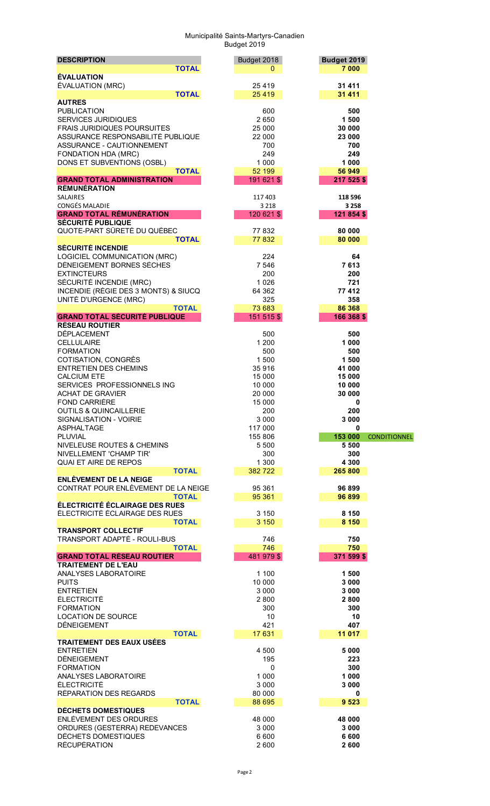## Municipalité Saints-Martyrs-Canadien Budget 2019

| <b>DESCRIPTION</b>                                       | Budget 2018    | Budget 2019                    |
|----------------------------------------------------------|----------------|--------------------------------|
| <b>TOTAL</b>                                             | 0              | 7 000                          |
| <b>ÉVALUATION</b>                                        |                |                                |
| <b>ÉVALUATION (MRC)</b><br><b>TOTAL</b>                  | 25419<br>25419 | 31 411<br>31 411               |
| <b>AUTRES</b>                                            |                |                                |
| <b>PUBLICATION</b>                                       | 600            | 500                            |
| <b>SERVICES JURIDIQUES</b>                               | 2650           | 1500                           |
| <b>FRAIS JURIDIQUES POURSUITES</b>                       | 25 000         | 30 000                         |
| ASSURANCE RESPONSABILITÉ PUBLIQUE                        | 22 000         | 23 000                         |
| ASSURANCE - CAUTIONNEMENT                                | 700            | 700                            |
| FONDATION HDA (MRC)                                      | 249            | 249                            |
| DONS ET SUBVENTIONS (OSBL)                               | 1 0 0 0        | 1 0 0 0                        |
| <b>TOTAL</b>                                             | 52 199         | 56 949                         |
| <b>GRAND TOTAL ADMINISTRATION</b>                        | 191 621 \$     | 217 525 \$                     |
| <b>RÉMUNÉRATION</b>                                      |                |                                |
| <b>SALAIRES</b>                                          | 117 403        | 118 596                        |
| <b>CONGÉS MALADIE</b><br><b>GRAND TOTAL RÉMUNÉRATION</b> | 3 2 1 8        | 3 2 5 8                        |
| <b>SÉCURITÉ PUBLIQUE</b>                                 | 120 621 \$     | 121 854 \$                     |
| QUOTE-PART SÛRETÉ DU QUÉBEC                              | 77832          | 80 000                         |
| <b>TOTAL</b>                                             | 77832          | 80 000                         |
| <b>SÉCURITÉ INCENDIE</b>                                 |                |                                |
| LOGICIEL COMMUNICATION (MRC)                             | 224            | 64                             |
| DÉNEIGEMENT BORNES SÈCHES                                | 7 546          | 7613                           |
| <b>EXTINCTEURS</b>                                       | 200            | 200                            |
| SÉCURITÉ INCENDIE (MRC)                                  | 1026           | 721                            |
| INCENDIE (RÉGIE DES 3 MONTS) & SIUCQ                     | 64 362         | 77 412                         |
| UNITÉ D'URGENCE (MRC)                                    | 325            | 358                            |
| <b>TOTAL</b>                                             | 73 683         | 86 368                         |
| <b>GRAND TOTAL SÉCURITÉ PUBLIQUE</b>                     | 151 515 \$     | 166 368 \$                     |
| RÉSEAU ROUTIER                                           |                |                                |
| <b>DÉPLACEMENT</b>                                       | 500            | 500                            |
| <b>CELLULAIRE</b><br><b>FORMATION</b>                    | 1 200<br>500   | 1000<br>500                    |
| COTISATION, CONGRÈS                                      | 1500           | 1 500                          |
| <b>ENTRETIEN DES CHEMINS</b>                             | 35916          | 41 000                         |
| <b>CALCIUM ETE</b>                                       | 15 000         | 15 000                         |
| SERVICES PROFESSIONNELS ING                              | 10 000         | 10 000                         |
| <b>ACHAT DE GRAVIER</b>                                  | 20 000         | 30 000                         |
| FOND CARRIÈRE                                            |                |                                |
|                                                          | 15 000         | 0                              |
| <b>OUTILS &amp; QUINCAILLERIE</b>                        | 200            | 200                            |
| SIGNALISATION - VOIRIE                                   | 3 0 0 0        | 3 0 0 0                        |
| <b>ASPHALTAGE</b>                                        | 117 000        | 0                              |
| <b>PLUVIAL</b>                                           | 155 806        | 153 000<br><b>CONDITIONNEL</b> |
| NIVELEUSE ROUTES & CHEMINS                               | 5 500          | 5 500                          |
| NIVELLEMENT 'CHAMP TIR'                                  | 300            | 300                            |
| <b>QUAI ET AIRE DE REPOS</b>                             | 1 300          | 4 3 0 0                        |
| <b>TOTAL</b>                                             | 382722         | 265 800                        |
| <b>ENLÈVEMENT DE LA NEIGE</b>                            |                |                                |
| CONTRAT POUR ENLÈVEMENT DE LA NEIGE                      | 95 361         | 96899                          |
| <b>TOTAL</b>                                             | 95 361         | 96 899                         |
| <b>ÉLECTRICITÉ ÉCLAIRAGE DES RUES</b>                    |                |                                |
| ÉLECTRICITÉ ÉCLAIRAGE DES RUES<br><b>TOTAL</b>           | 3 1 5 0        | 8 1 5 0<br>8 1 5 0             |
| <b>TRANSPORT COLLECTIF</b>                               | 3 1 5 0        |                                |
| TRANSPORT ADAPTÉ - ROULI-BUS                             | 746            | 750                            |
| <b>TOTAL</b>                                             | 746            | 750                            |
| <b>GRAND TOTAL RÉSEAU ROUTIER</b>                        | 481 979 \$     | 371 599 \$                     |
| <b>TRAITEMENT DE L'EAU</b>                               |                |                                |
| ANALYSES LABORATOIRE                                     | 1 100          | 1500                           |
| <b>PUITS</b>                                             | 10 000         | 3 0 0 0                        |
| <b>ENTRETIEN</b>                                         | 3 0 0 0        | 3 0 0 0                        |
| <b>ÉLECTRICITÉ</b>                                       | 2800           | 2800                           |
| <b>FORMATION</b>                                         | 300            | 300                            |
| LOCATION DE SOURCE                                       | 10             | 10                             |
| <b>DÉNEIGEMENT</b>                                       | 421<br>17 631  | 407<br>11 017                  |
| <b>TOTAL</b><br><b>TRAITEMENT DES EAUX USÉES</b>         |                |                                |
| <b>ENTRETIEN</b>                                         | 4 500          | 5 0 0 0                        |
| <b>DÉNEIGEMENT</b>                                       | 195            | 223                            |
| <b>FORMATION</b>                                         | 0              | 300                            |
| ANALYSES LABORATOIRE                                     | 1 0 0 0        | 1 0 0 0                        |
| <b>ÉLECTRICITÉ</b>                                       | 3 0 0 0        | 3 0 0 0                        |
| RÉPARATION DES REGARDS                                   | 80 000         | 0                              |
| <b>TOTAL</b>                                             | 88 695         | 9 5 23                         |
| <b>DÉCHETS DOMESTIQUES</b>                               |                |                                |
| ENLÈVEMENT DES ORDURES                                   | 48 000         | 48 000                         |
| ORDURES (GESTERRA) REDEVANCES                            | 3 0 0 0        | 3 0 0 0                        |
| DÉCHETS DOMESTIQUES<br><b>RÉCUPÉRATION</b>               | 6 600<br>2 600 | 6 600<br>2600                  |